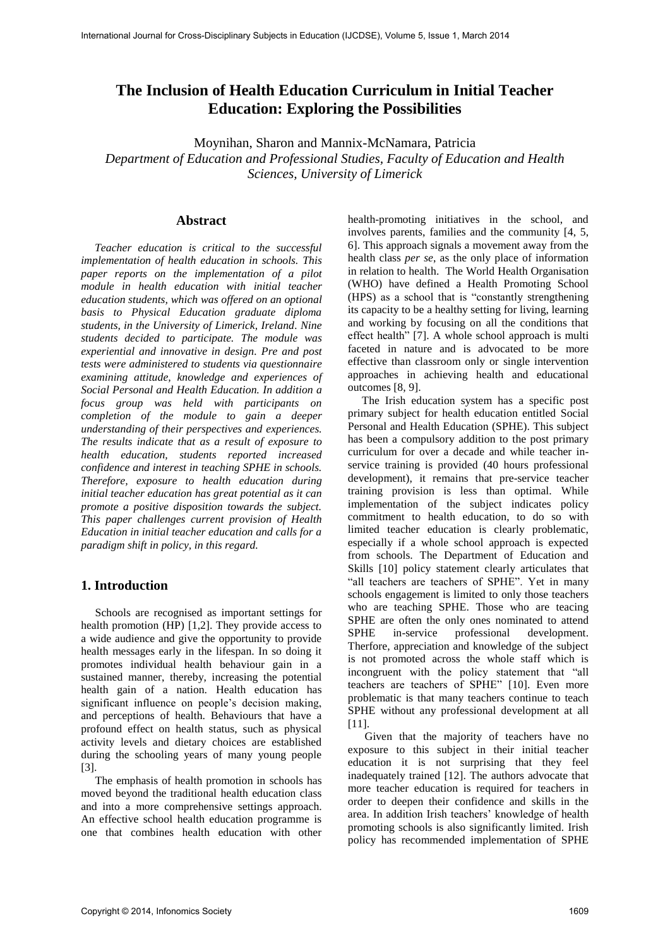# **The Inclusion of Health Education Curriculum in Initial Teacher Education: Exploring the Possibilities**

Moynihan, Sharon and Mannix-McNamara, Patricia

*Department of Education and Professional Studies, Faculty of Education and Health Sciences, University of Limerick* 

### **Abstract**

*Teacher education is critical to the successful implementation of health education in schools. This paper reports on the implementation of a pilot module in health education with initial teacher education students, which was offered on an optional basis to Physical Education graduate diploma students, in the University of Limerick, Ireland. Nine students decided to participate. The module was experiential and innovative in design. Pre and post tests were administered to students via questionnaire examining attitude, knowledge and experiences of Social Personal and Health Education. In addition a focus group was held with participants on completion of the module to gain a deeper understanding of their perspectives and experiences. The results indicate that as a result of exposure to health education, students reported increased confidence and interest in teaching SPHE in schools. Therefore, exposure to health education during initial teacher education has great potential as it can promote a positive disposition towards the subject. This paper challenges current provision of Health Education in initial teacher education and calls for a paradigm shift in policy, in this regard.* 

# **1. Introduction**

 Schools are recognised as important settings for health promotion (HP) [1,2]. They provide access to a wide audience and give the opportunity to provide health messages early in the lifespan. In so doing it promotes individual health behaviour gain in a sustained manner, thereby, increasing the potential health gain of a nation. Health education has significant influence on people's decision making, and perceptions of health. Behaviours that have a profound effect on health status, such as physical activity levels and dietary choices are established during the schooling years of many young people [3].

 The emphasis of health promotion in schools has moved beyond the traditional health education class and into a more comprehensive settings approach. An effective school health education programme is one that combines health education with other health-promoting initiatives in the school, and involves parents, families and the community [4, 5, 6]. This approach signals a movement away from the health class *per se*, as the only place of information in relation to health. The World Health Organisation (WHO) have defined a Health Promoting School (HPS) as a school that is "constantly strengthening its capacity to be a healthy setting for living, learning and working by focusing on all the conditions that effect health" [7]. A whole school approach is multi faceted in nature and is advocated to be more effective than classroom only or single intervention approaches in achieving health and educational outcomes [8, 9].

 The Irish education system has a specific post primary subject for health education entitled Social Personal and Health Education (SPHE). This subject has been a compulsory addition to the post primary curriculum for over a decade and while teacher inservice training is provided (40 hours professional development), it remains that pre-service teacher training provision is less than optimal. While implementation of the subject indicates policy commitment to health education, to do so with limited teacher education is clearly problematic, especially if a whole school approach is expected from schools. The Department of Education and Skills [10] policy statement clearly articulates that "all teachers are teachers of SPHE". Yet in many schools engagement is limited to only those teachers who are teaching SPHE. Those who are teacing SPHE are often the only ones nominated to attend SPHE in-service professional development. Therfore, appreciation and knowledge of the subject is not promoted across the whole staff which is incongruent with the policy statement that "all teachers are teachers of SPHE" [10]. Even more problematic is that many teachers continue to teach SPHE without any professional development at all [11].

 Given that the majority of teachers have no exposure to this subject in their initial teacher education it is not surprising that they feel inadequately trained [12]. The authors advocate that more teacher education is required for teachers in order to deepen their confidence and skills in the area. In addition Irish teachers' knowledge of health promoting schools is also significantly limited. Irish policy has recommended implementation of SPHE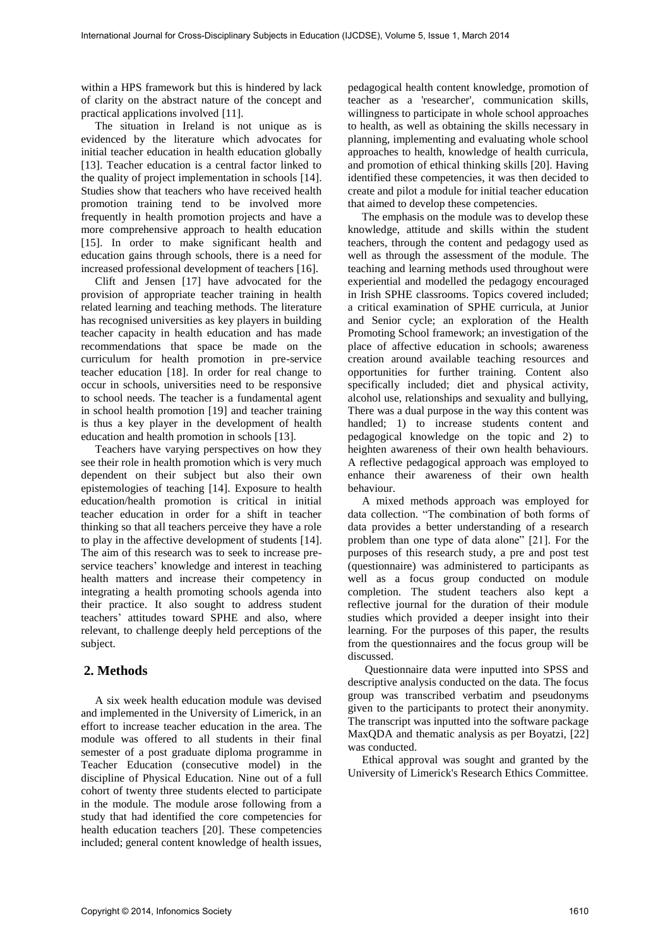within a HPS framework but this is hindered by lack of clarity on the abstract nature of the concept and practical applications involved [11].

 The situation in Ireland is not unique as is evidenced by the literature which advocates for initial teacher education in health education globally [13]. Teacher education is a central factor linked to the quality of project implementation in schools [14]. Studies show that teachers who have received health promotion training tend to be involved more frequently in health promotion projects and have a more comprehensive approach to health education [15]. In order to make significant health and education gains through schools, there is a need for increased professional development of teachers [16].

 Clift and Jensen [17] have advocated for the provision of appropriate teacher training in health related learning and teaching methods. The literature has recognised universities as key players in building teacher capacity in health education and has made recommendations that space be made on the curriculum for health promotion in pre-service teacher education [18]. In order for real change to occur in schools, universities need to be responsive to school needs. The teacher is a fundamental agent in school health promotion [19] and teacher training is thus a key player in the development of health education and health promotion in schools [13].

 Teachers have varying perspectives on how they see their role in health promotion which is very much dependent on their subject but also their own epistemologies of teaching [14]. Exposure to health education/health promotion is critical in initial teacher education in order for a shift in teacher thinking so that all teachers perceive they have a role to play in the affective development of students [14]. The aim of this research was to seek to increase preservice teachers' knowledge and interest in teaching health matters and increase their competency in integrating a health promoting schools agenda into their practice. It also sought to address student teachers' attitudes toward SPHE and also, where relevant, to challenge deeply held perceptions of the subject.

# **2. Methods**

 A six week health education module was devised and implemented in the University of Limerick, in an effort to increase teacher education in the area. The module was offered to all students in their final semester of a post graduate diploma programme in Teacher Education (consecutive model) in the discipline of Physical Education. Nine out of a full cohort of twenty three students elected to participate in the module. The module arose following from a study that had identified the core competencies for health education teachers [20]. These competencies included; general content knowledge of health issues,

pedagogical health content knowledge, promotion of teacher as a 'researcher', communication skills, willingness to participate in whole school approaches to health, as well as obtaining the skills necessary in planning, implementing and evaluating whole school approaches to health, knowledge of health curricula, and promotion of ethical thinking skills [20]. Having identified these competencies, it was then decided to create and pilot a module for initial teacher education that aimed to develop these competencies.

 The emphasis on the module was to develop these knowledge, attitude and skills within the student teachers, through the content and pedagogy used as well as through the assessment of the module. The teaching and learning methods used throughout were experiential and modelled the pedagogy encouraged in Irish SPHE classrooms. Topics covered included; a critical examination of SPHE curricula, at Junior and Senior cycle; an exploration of the Health Promoting School framework; an investigation of the place of affective education in schools; awareness creation around available teaching resources and opportunities for further training. Content also specifically included; diet and physical activity, alcohol use, relationships and sexuality and bullying, There was a dual purpose in the way this content was handled; 1) to increase students content and pedagogical knowledge on the topic and 2) to heighten awareness of their own health behaviours. A reflective pedagogical approach was employed to enhance their awareness of their own health behaviour.

 A mixed methods approach was employed for data collection. "The combination of both forms of data provides a better understanding of a research problem than one type of data alone" [21]. For the purposes of this research study, a pre and post test (questionnaire) was administered to participants as well as a focus group conducted on module completion. The student teachers also kept a reflective journal for the duration of their module studies which provided a deeper insight into their learning. For the purposes of this paper, the results from the questionnaires and the focus group will be discussed.

 Questionnaire data were inputted into SPSS and descriptive analysis conducted on the data. The focus group was transcribed verbatim and pseudonyms given to the participants to protect their anonymity. The transcript was inputted into the software package MaxQDA and thematic analysis as per Boyatzi, [22] was conducted.

 Ethical approval was sought and granted by the University of Limerick's Research Ethics Committee.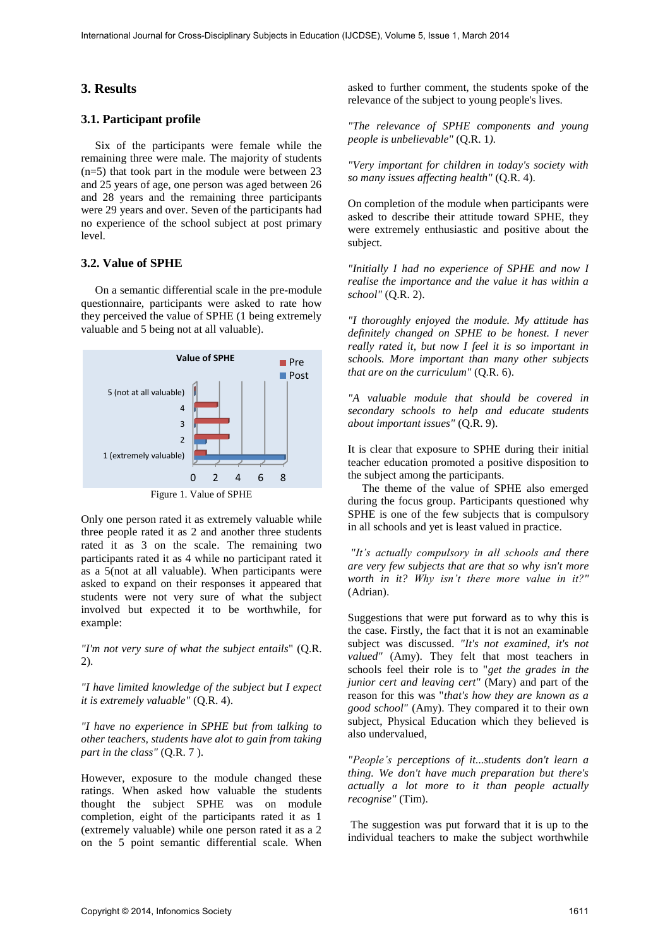## **3. Results**

## **3.1. Participant profile**

 Six of the participants were female while the remaining three were male. The majority of students (n=5) that took part in the module were between 23 and 25 years of age, one person was aged between 26 and 28 years and the remaining three participants were 29 years and over. Seven of the participants had no experience of the school subject at post primary level.

## **3.2. Value of SPHE**

 On a semantic differential scale in the pre-module questionnaire, participants were asked to rate how they perceived the value of SPHE (1 being extremely valuable and 5 being not at all valuable).



Only one person rated it as extremely valuable while three people rated it as 2 and another three students rated it as 3 on the scale. The remaining two participants rated it as 4 while no participant rated it as a 5(not at all valuable). When participants were asked to expand on their responses it appeared that students were not very sure of what the subject involved but expected it to be worthwhile, for example:

*"I'm not very sure of what the subject entails*" (Q.R. 2).

*"I have limited knowledge of the subject but I expect it is extremely valuable"* (Q.R. 4).

*"I have no experience in SPHE but from talking to other teachers, students have alot to gain from taking part in the class"* (Q.R. 7 ).

However, exposure to the module changed these ratings. When asked how valuable the students thought the subject SPHE was on module completion, eight of the participants rated it as 1 (extremely valuable) while one person rated it as a 2 on the 5 point semantic differential scale. When

asked to further comment, the students spoke of the relevance of the subject to young people's lives.

*"The relevance of SPHE components and young people is unbelievable"* (Q.R. 1*).*

*"Very important for children in today's society with so many issues affecting health"* (Q.R. 4).

On completion of the module when participants were asked to describe their attitude toward SPHE, they were extremely enthusiastic and positive about the subject*.* 

*"Initially I had no experience of SPHE and now I realise the importance and the value it has within a school"* (Q.R. 2).

*"I thoroughly enjoyed the module. My attitude has definitely changed on SPHE to be honest. I never really rated it, but now I feel it is so important in schools. More important than many other subjects that are on the curriculum"* (Q.R. 6).

*"A valuable module that should be covered in secondary schools to help and educate students about important issues"* (Q.R. 9).

It is clear that exposure to SPHE during their initial teacher education promoted a positive disposition to the subject among the participants.

 The theme of the value of SPHE also emerged during the focus group. Participants questioned why SPHE is one of the few subjects that is compulsory in all schools and yet is least valued in practice.

*"It's actually compulsory in all schools and there are very few subjects that are that so why isn't more worth in it? Why isn't there more value in it?"*  (Adrian).

Suggestions that were put forward as to why this is the case. Firstly, the fact that it is not an examinable subject was discussed. *"It's not examined, it's not valued"* (Amy). They felt that most teachers in schools feel their role is to "*get the grades in the junior cert and leaving cert"* (Mary) and part of the reason for this was "*that's how they are known as a good school"* (Amy). They compared it to their own subject, Physical Education which they believed is also undervalued,

*"People's perceptions of it...students don't learn a thing. We don't have much preparation but there's actually a lot more to it than people actually recognise"* (Tim).

 The suggestion was put forward that it is up to the individual teachers to make the subject worthwhile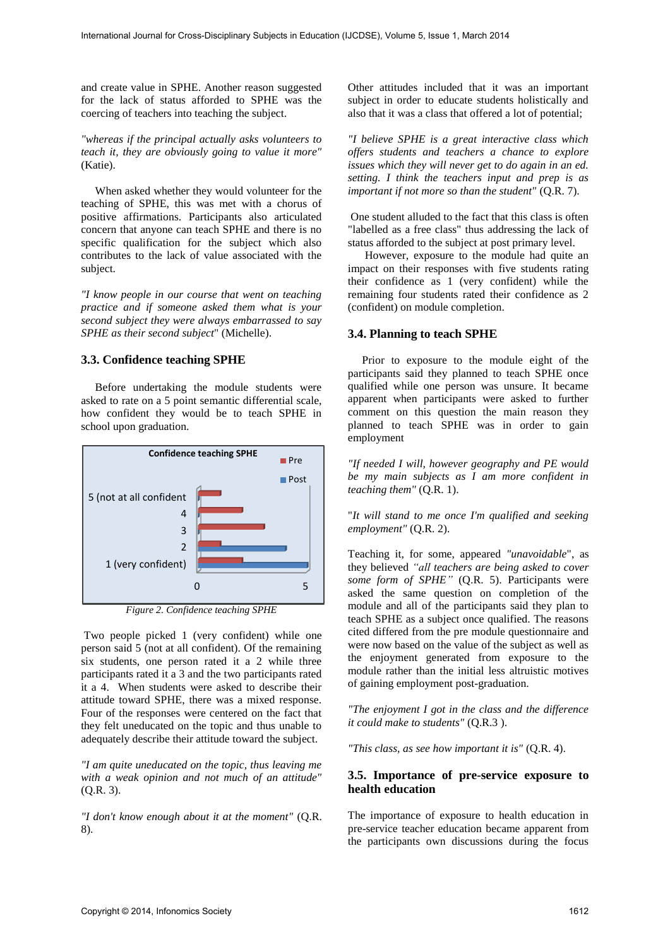and create value in SPHE. Another reason suggested for the lack of status afforded to SPHE was the coercing of teachers into teaching the subject.

*"whereas if the principal actually asks volunteers to teach it, they are obviously going to value it more"* (Katie).

 When asked whether they would volunteer for the teaching of SPHE, this was met with a chorus of positive affirmations. Participants also articulated concern that anyone can teach SPHE and there is no specific qualification for the subject which also contributes to the lack of value associated with the subject.

*"I know people in our course that went on teaching practice and if someone asked them what is your second subject they were always embarrassed to say SPHE as their second subject*" (Michelle).

#### **3.3. Confidence teaching SPHE**

 Before undertaking the module students were asked to rate on a 5 point semantic differential scale, how confident they would be to teach SPHE in school upon graduation.



*Figure 2. Confidence teaching SPHE* 

 Two people picked 1 (very confident) while one person said 5 (not at all confident). Of the remaining six students, one person rated it a 2 while three participants rated it a 3 and the two participants rated it a 4. When students were asked to describe their attitude toward SPHE, there was a mixed response. Four of the responses were centered on the fact that they felt uneducated on the topic and thus unable to adequately describe their attitude toward the subject.

*"I am quite uneducated on the topic, thus leaving me with a weak opinion and not much of an attitude"* (Q.R. 3).

*"I don't know enough about it at the moment"* (Q.R. 8).

Other attitudes included that it was an important subject in order to educate students holistically and also that it was a class that offered a lot of potential;

*"I believe SPHE is a great interactive class which offers students and teachers a chance to explore issues which they will never get to do again in an ed. setting. I think the teachers input and prep is as important if not more so than the student"* (Q.R. 7).

 One student alluded to the fact that this class is often "labelled as a free class" thus addressing the lack of status afforded to the subject at post primary level.

 However, exposure to the module had quite an impact on their responses with five students rating their confidence as 1 (very confident) while the remaining four students rated their confidence as 2 (confident) on module completion.

#### **3.4. Planning to teach SPHE**

 Prior to exposure to the module eight of the participants said they planned to teach SPHE once qualified while one person was unsure. It became apparent when participants were asked to further comment on this question the main reason they planned to teach SPHE was in order to gain employment

*"If needed I will, however geography and PE would be my main subjects as I am more confident in teaching them"* (Q.R. 1).

"*It will stand to me once I'm qualified and seeking employment"* (Q.R. 2).

Teaching it, for some, appeared *"unavoidable*", as they believed *"all teachers are being asked to cover some form of SPHE"* (Q.R. 5). Participants were asked the same question on completion of the module and all of the participants said they plan to teach SPHE as a subject once qualified. The reasons cited differed from the pre module questionnaire and were now based on the value of the subject as well as the enjoyment generated from exposure to the module rather than the initial less altruistic motives of gaining employment post-graduation.

*"The enjoyment I got in the class and the difference it could make to students"* (Q.R.3 ).

*"This class, as see how important it is"* (Q.R. 4).

## **3.5. Importance of pre-service exposure to health education**

The importance of exposure to health education in pre-service teacher education became apparent from the participants own discussions during the focus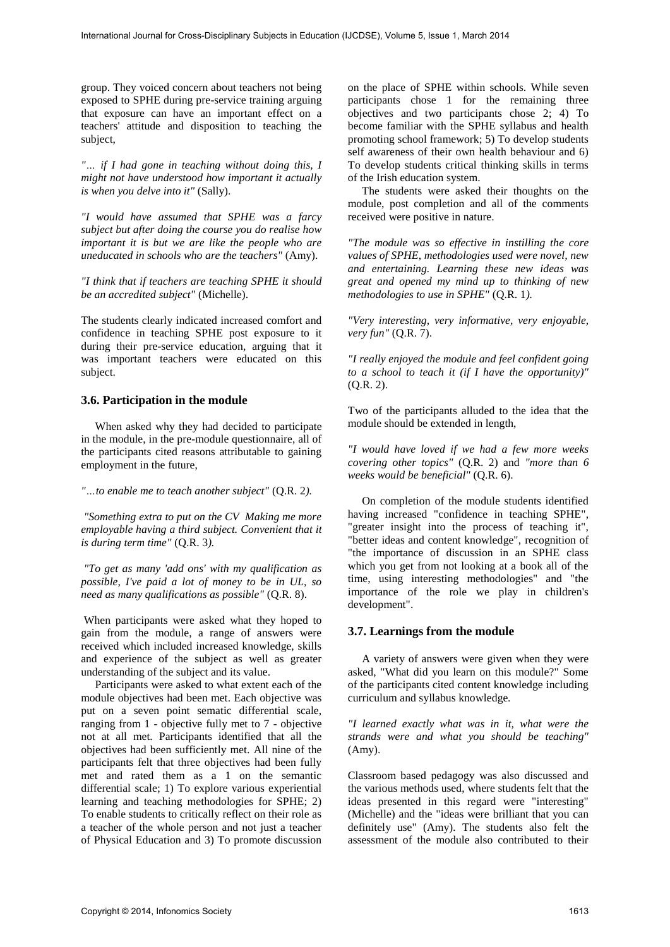group. They voiced concern about teachers not being exposed to SPHE during pre-service training arguing that exposure can have an important effect on a teachers' attitude and disposition to teaching the subject,

*"… if I had gone in teaching without doing this, I might not have understood how important it actually is when you delve into it"* (Sally).

*"I would have assumed that SPHE was a farcy subject but after doing the course you do realise how important it is but we are like the people who are uneducated in schools who are the teachers"* (Amy).

*"I think that if teachers are teaching SPHE it should be an accredited subject"* (Michelle).

The students clearly indicated increased comfort and confidence in teaching SPHE post exposure to it during their pre-service education, arguing that it was important teachers were educated on this subject.

## **3.6. Participation in the module**

 When asked why they had decided to participate in the module, in the pre-module questionnaire, all of the participants cited reasons attributable to gaining employment in the future,

*"…to enable me to teach another subject"* (Q.R. 2*).*

 *"Something extra to put on the CV Making me more employable having a third subject. Convenient that it is during term time"* (Q.R. 3*).*

 *"To get as many 'add ons' with my qualification as possible, I've paid a lot of money to be in UL, so need as many qualifications as possible"* (Q.R. 8).

 When participants were asked what they hoped to gain from the module, a range of answers were received which included increased knowledge, skills and experience of the subject as well as greater understanding of the subject and its value.

 Participants were asked to what extent each of the module objectives had been met. Each objective was put on a seven point sematic differential scale, ranging from 1 - objective fully met to 7 - objective not at all met. Participants identified that all the objectives had been sufficiently met. All nine of the participants felt that three objectives had been fully met and rated them as a 1 on the semantic differential scale; 1) To explore various experiential learning and teaching methodologies for SPHE; 2) To enable students to critically reflect on their role as a teacher of the whole person and not just a teacher of Physical Education and 3) To promote discussion

on the place of SPHE within schools. While seven participants chose 1 for the remaining three objectives and two participants chose 2; 4) To become familiar with the SPHE syllabus and health promoting school framework; 5) To develop students self awareness of their own health behaviour and 6) To develop students critical thinking skills in terms of the Irish education system.

 The students were asked their thoughts on the module, post completion and all of the comments received were positive in nature.

*"The module was so effective in instilling the core values of SPHE, methodologies used were novel, new and entertaining. Learning these new ideas was great and opened my mind up to thinking of new methodologies to use in SPHE"* (Q.R. 1*).* 

*"Very interesting, very informative, very enjoyable, very fun"* (Q.R. 7).

*"I really enjoyed the module and feel confident going to a school to teach it (if I have the opportunity)"* (Q.R. 2).

Two of the participants alluded to the idea that the module should be extended in length,

*"I would have loved if we had a few more weeks covering other topics"* (Q.R. 2) and *"more than 6 weeks would be beneficial"* (Q.R. 6).

 On completion of the module students identified having increased "confidence in teaching SPHE", "greater insight into the process of teaching it", "better ideas and content knowledge", recognition of "the importance of discussion in an SPHE class which you get from not looking at a book all of the time, using interesting methodologies" and "the importance of the role we play in children's development".

## **3.7. Learnings from the module**

 A variety of answers were given when they were asked, "What did you learn on this module?" Some of the participants cited content knowledge including curriculum and syllabus knowledge*.* 

*"I learned exactly what was in it, what were the strands were and what you should be teaching"* (Amy).

Classroom based pedagogy was also discussed and the various methods used, where students felt that the ideas presented in this regard were "interesting" (Michelle) and the "ideas were brilliant that you can definitely use" (Amy)*.* The students also felt the assessment of the module also contributed to their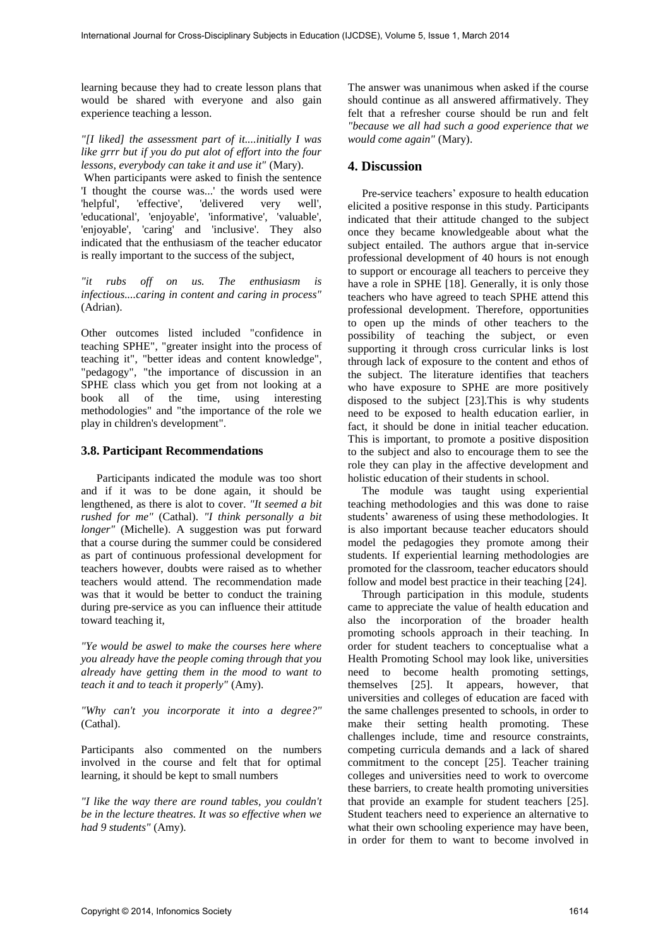learning because they had to create lesson plans that would be shared with everyone and also gain experience teaching a lesson.

*"[I liked] the assessment part of it....initially I was like grrr but if you do put alot of effort into the four lessons, everybody can take it and use it"* (Mary).

 When participants were asked to finish the sentence 'I thought the course was...' the words used were<br>'helpful', 'effective', 'delivered very well', 'delivered very well', 'educational', 'enjoyable', 'informative', 'valuable', 'enjoyable', 'caring' and 'inclusive'. They also indicated that the enthusiasm of the teacher educator is really important to the success of the subject,

*"it rubs off on us. The enthusiasm is infectious....caring in content and caring in process"* (Adrian).

Other outcomes listed included "confidence in teaching SPHE", "greater insight into the process of teaching it", "better ideas and content knowledge", "pedagogy", "the importance of discussion in an SPHE class which you get from not looking at a book all of the time, using interesting methodologies" and "the importance of the role we play in children's development".

### **3.8. Participant Recommendations**

Participants indicated the module was too short and if it was to be done again, it should be lengthened, as there is alot to cover*. "It seemed a bit rushed for me"* (Cathal). *"I think personally a bit longer"* (Michelle). A suggestion was put forward that a course during the summer could be considered as part of continuous professional development for teachers however, doubts were raised as to whether teachers would attend. The recommendation made was that it would be better to conduct the training during pre-service as you can influence their attitude toward teaching it,

*"Ye would be aswel to make the courses here where you already have the people coming through that you already have getting them in the mood to want to teach it and to teach it properly"* (Amy).

*"Why can't you incorporate it into a degree?"*  (Cathal).

Participants also commented on the numbers involved in the course and felt that for optimal learning, it should be kept to small numbers

*"I like the way there are round tables, you couldn't be in the lecture theatres. It was so effective when we had 9 students"* (Amy).

The answer was unanimous when asked if the course should continue as all answered affirmatively. They felt that a refresher course should be run and felt *"because we all had such a good experience that we would come again"* (Mary).

# **4. Discussion**

 Pre-service teachers' exposure to health education elicited a positive response in this study. Participants indicated that their attitude changed to the subject once they became knowledgeable about what the subject entailed. The authors argue that in-service professional development of 40 hours is not enough to support or encourage all teachers to perceive they have a role in SPHE [18]. Generally, it is only those teachers who have agreed to teach SPHE attend this professional development. Therefore, opportunities to open up the minds of other teachers to the possibility of teaching the subject, or even supporting it through cross curricular links is lost through lack of exposure to the content and ethos of the subject. The literature identifies that teachers who have exposure to SPHE are more positively disposed to the subject [23].This is why students need to be exposed to health education earlier, in fact, it should be done in initial teacher education. This is important, to promote a positive disposition to the subject and also to encourage them to see the role they can play in the affective development and holistic education of their students in school.

 The module was taught using experiential teaching methodologies and this was done to raise students' awareness of using these methodologies. It is also important because teacher educators should model the pedagogies they promote among their students. If experiential learning methodologies are promoted for the classroom, teacher educators should follow and model best practice in their teaching [24].

 Through participation in this module, students came to appreciate the value of health education and also the incorporation of the broader health promoting schools approach in their teaching. In order for student teachers to conceptualise what a Health Promoting School may look like, universities need to become health promoting settings, themselves [25]. It appears, however, that universities and colleges of education are faced with the same challenges presented to schools, in order to make their setting health promoting. These challenges include, time and resource constraints, competing curricula demands and a lack of shared commitment to the concept [25]. Teacher training colleges and universities need to work to overcome these barriers, to create health promoting universities that provide an example for student teachers [25]. Student teachers need to experience an alternative to what their own schooling experience may have been, in order for them to want to become involved in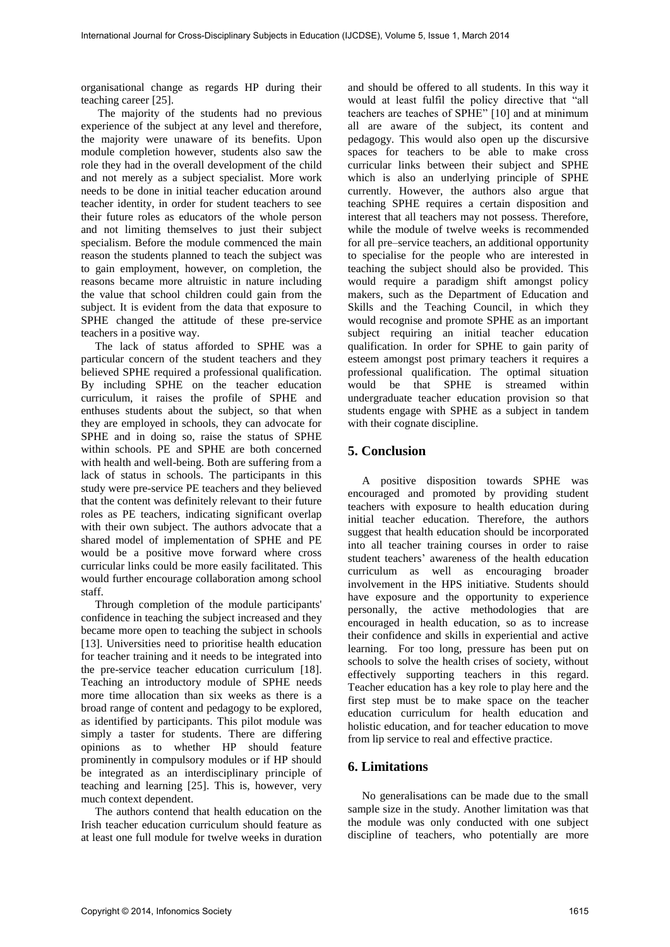organisational change as regards HP during their teaching career [25].

 The majority of the students had no previous experience of the subject at any level and therefore, the majority were unaware of its benefits. Upon module completion however, students also saw the role they had in the overall development of the child and not merely as a subject specialist. More work needs to be done in initial teacher education around teacher identity, in order for student teachers to see their future roles as educators of the whole person and not limiting themselves to just their subject specialism. Before the module commenced the main reason the students planned to teach the subject was to gain employment, however, on completion, the reasons became more altruistic in nature including the value that school children could gain from the subject. It is evident from the data that exposure to SPHE changed the attitude of these pre-service teachers in a positive way.

 The lack of status afforded to SPHE was a particular concern of the student teachers and they believed SPHE required a professional qualification. By including SPHE on the teacher education curriculum, it raises the profile of SPHE and enthuses students about the subject, so that when they are employed in schools, they can advocate for SPHE and in doing so, raise the status of SPHE within schools. PE and SPHE are both concerned with health and well-being. Both are suffering from a lack of status in schools. The participants in this study were pre-service PE teachers and they believed that the content was definitely relevant to their future roles as PE teachers, indicating significant overlap with their own subject. The authors advocate that a shared model of implementation of SPHE and PE would be a positive move forward where cross curricular links could be more easily facilitated. This would further encourage collaboration among school staff.

 Through completion of the module participants' confidence in teaching the subject increased and they became more open to teaching the subject in schools [13]. Universities need to prioritise health education for teacher training and it needs to be integrated into the pre-service teacher education curriculum [18]. Teaching an introductory module of SPHE needs more time allocation than six weeks as there is a broad range of content and pedagogy to be explored, as identified by participants. This pilot module was simply a taster for students. There are differing opinions as to whether HP should feature prominently in compulsory modules or if HP should be integrated as an interdisciplinary principle of teaching and learning [25]. This is, however, very much context dependent.

 The authors contend that health education on the Irish teacher education curriculum should feature as at least one full module for twelve weeks in duration

and should be offered to all students. In this way it would at least fulfil the policy directive that "all teachers are teaches of SPHE" [10] and at minimum all are aware of the subject, its content and pedagogy. This would also open up the discursive spaces for teachers to be able to make cross curricular links between their subject and SPHE which is also an underlying principle of SPHE currently. However, the authors also argue that teaching SPHE requires a certain disposition and interest that all teachers may not possess. Therefore, while the module of twelve weeks is recommended for all pre–service teachers, an additional opportunity to specialise for the people who are interested in teaching the subject should also be provided. This would require a paradigm shift amongst policy makers, such as the Department of Education and Skills and the Teaching Council, in which they would recognise and promote SPHE as an important subject requiring an initial teacher education qualification. In order for SPHE to gain parity of esteem amongst post primary teachers it requires a professional qualification. The optimal situation would be that SPHE is streamed within undergraduate teacher education provision so that students engage with SPHE as a subject in tandem with their cognate discipline.

# **5. Conclusion**

 A positive disposition towards SPHE was encouraged and promoted by providing student teachers with exposure to health education during initial teacher education. Therefore, the authors suggest that health education should be incorporated into all teacher training courses in order to raise student teachers' awareness of the health education curriculum as well as encouraging broader involvement in the HPS initiative. Students should have exposure and the opportunity to experience personally, the active methodologies that are encouraged in health education, so as to increase their confidence and skills in experiential and active learning. For too long, pressure has been put on schools to solve the health crises of society, without effectively supporting teachers in this regard. Teacher education has a key role to play here and the first step must be to make space on the teacher education curriculum for health education and holistic education, and for teacher education to move from lip service to real and effective practice.

# **6. Limitations**

 No generalisations can be made due to the small sample size in the study. Another limitation was that the module was only conducted with one subject discipline of teachers, who potentially are more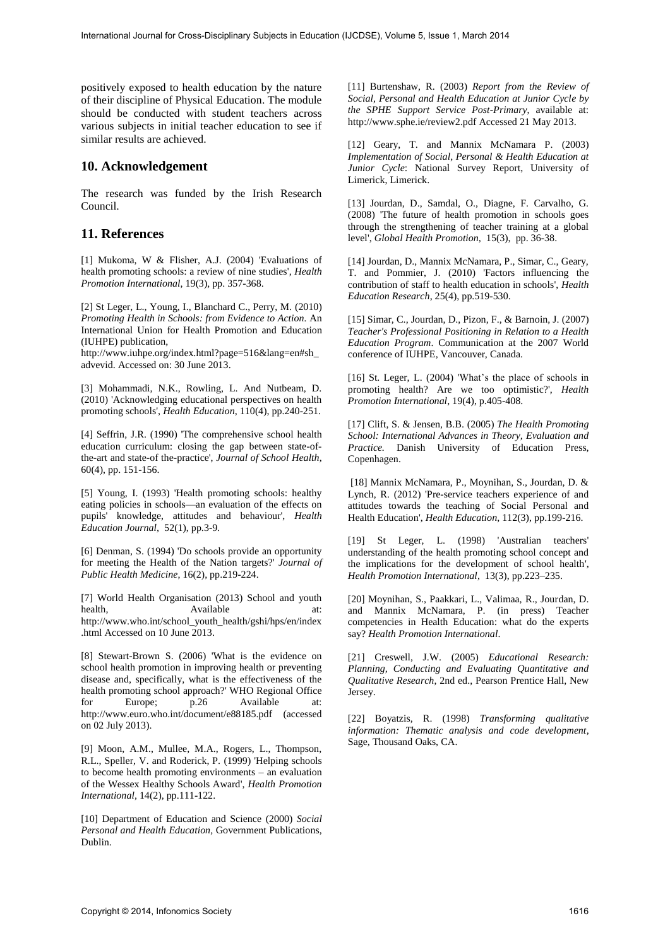positively exposed to health education by the nature of their discipline of Physical Education. The module should be conducted with student teachers across various subjects in initial teacher education to see if similar results are achieved.

## **10. Acknowledgement**

The research was funded by the Irish Research Council.

## **11. References**

[1] Mukoma, W & Flisher, A.J. (2004) 'Evaluations of health promoting schools: a review of nine studies', *Health Promotion International*, 19(3), pp. 357-368.

[2] St Leger, L., Young, I., Blanchard C., Perry, M. (2010) *Promoting Health in Schools: from Evidence to Action.* An International Union for Health Promotion and Education (IUHPE) publication,

http://www.iuhpe.org/index.html?page=516&lang=en#sh\_ advevid. Accessed on: 30 June 2013.

[3] Mohammadi, N.K., Rowling, L. And Nutbeam, D. (2010) 'Acknowledging educational perspectives on health promoting schools', *Health Education*, 110(4), pp.240-251.

[4] Seffrin, J.R. (1990) 'The comprehensive school health education curriculum: closing the gap between state-ofthe-art and state-of the-practice', *Journal of School Health*, 60(4), pp. 151-156.

[5] Young, I. (1993) 'Health promoting schools: healthy eating policies in schools—an evaluation of the effects on pupils' knowledge, attitudes and behaviour', *Health Education Journal*, 52(1), pp.3-9.

[6] Denman, S. (1994) 'Do schools provide an opportunity for meeting the Health of the Nation targets?' *Journal of Public Health Medicine*, 16(2), pp.219-224.

[7] World Health Organisation (2013) School and youth health, Available at: http://www.who.int/school\_youth\_health/gshi/hps/en/index .html Accessed on 10 June 2013.

[8] Stewart-Brown S. (2006) 'What is the evidence on school health promotion in improving health or preventing disease and, specifically, what is the effectiveness of the health promoting school approach?' WHO Regional Office for Europe; p.26 Available at: http://www.euro.who.int/document/e88185.pdf (accessed on 02 July 2013).

[9] Moon, A.M., Mullee, M.A., Rogers, L., Thompson, R.L., Speller, V. and Roderick, P. (1999) 'Helping schools to become health promoting environments – an evaluation of the Wessex Healthy Schools Award', *Health Promotion International*, 14(2), pp.111-122.

[10] Department of Education and Science (2000) *Social Personal and Health Education,* Government Publications, Dublin.

[11] Burtenshaw, R. (2003) *Report from the Review of Social, Personal and Health Education at Junior Cycle by the SPHE Support Service Post-Primary*, available at: http://www.sphe.ie/review2.pdf Accessed 21 May 2013.

[12] Geary, T. and Mannix McNamara P. (2003) *Implementation of Social, Personal & Health Education at Junior Cycle*: National Survey Report, University of Limerick, Limerick.

[13] Jourdan, D., Samdal, O., Diagne, F. Carvalho, G. (2008) 'The future of health promotion in schools goes through the strengthening of teacher training at a global level', *Global Health Promotion*, 15(3), pp. 36-38.

[14] Jourdan, D., Mannix McNamara, P., Simar, C., Geary, T. and Pommier, J. (2010) 'Factors influencing the contribution of staff to health education in schools', *Health Education Research*, 25(4), pp.519-530.

[15] Simar, C., Jourdan, D., Pizon, F., & Barnoin, J. (2007) *Teacher's Professional Positioning in Relation to a Health Education Program*. Communication at the 2007 World conference of IUHPE, Vancouver, Canada.

[16] St. Leger, L. (2004) 'What's the place of schools in promoting health? Are we too optimistic?', *Health Promotion International*, 19(4), p.405-408.

[17] Clift, S. & Jensen, B.B. (2005) *The Health Promoting School: International Advances in Theory, Evaluation and Practice.* Danish University of Education Press, Copenhagen.

 [18] Mannix McNamara, P., Moynihan, S., Jourdan, D. & Lynch, R. (2012) 'Pre-service teachers experience of and attitudes towards the teaching of Social Personal and Health Education', *Health Education*, 112(3), pp.199-216.

[19] St Leger, L. (1998) 'Australian teachers' understanding of the health promoting school concept and the implications for the development of school health', *Health Promotion International*, 13(3), pp.223–235.

[20] Moynihan, S., Paakkari, L., Valimaa, R., Jourdan, D. and Mannix McNamara, P. (in press) Teacher competencies in Health Education: what do the experts say? *Health Promotion International*.

[21] Creswell, J.W. (2005) *Educational Research: Planning, Conducting and Evaluating Quantitative and Qualitative Research*, 2nd ed., Pearson Prentice Hall, New Jersey.

[22] Boyatzis, R. (1998) *Transforming qualitative information: Thematic analysis and code development*, Sage, Thousand Oaks, CA.